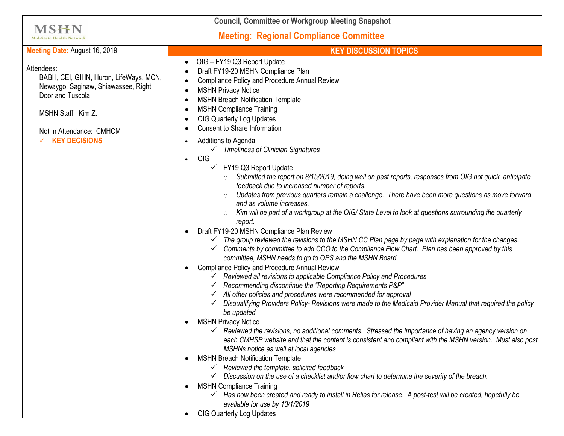| <b>Council, Committee or Workgroup Meeting Snapshot</b>                                                                                                           |                                                                                                                                                                                                                                                                                                                                                                                                                                                                                                                                                                                                                                                                                                                                                                                                                                                                                                                                                                                                                                                                                                                                                                                                                                                                                                                                                                                                                                                                                                                                                                                                                                                                                                                                                                                                                                                                                                                                                                                                                                                    |
|-------------------------------------------------------------------------------------------------------------------------------------------------------------------|----------------------------------------------------------------------------------------------------------------------------------------------------------------------------------------------------------------------------------------------------------------------------------------------------------------------------------------------------------------------------------------------------------------------------------------------------------------------------------------------------------------------------------------------------------------------------------------------------------------------------------------------------------------------------------------------------------------------------------------------------------------------------------------------------------------------------------------------------------------------------------------------------------------------------------------------------------------------------------------------------------------------------------------------------------------------------------------------------------------------------------------------------------------------------------------------------------------------------------------------------------------------------------------------------------------------------------------------------------------------------------------------------------------------------------------------------------------------------------------------------------------------------------------------------------------------------------------------------------------------------------------------------------------------------------------------------------------------------------------------------------------------------------------------------------------------------------------------------------------------------------------------------------------------------------------------------------------------------------------------------------------------------------------------------|
| <b>MSHN</b><br><b>Mid-State Health Networl</b>                                                                                                                    | <b>Meeting: Regional Compliance Committee</b>                                                                                                                                                                                                                                                                                                                                                                                                                                                                                                                                                                                                                                                                                                                                                                                                                                                                                                                                                                                                                                                                                                                                                                                                                                                                                                                                                                                                                                                                                                                                                                                                                                                                                                                                                                                                                                                                                                                                                                                                      |
| Meeting Date: August 16, 2019                                                                                                                                     | <b>KEY DISCUSSION TOPICS</b>                                                                                                                                                                                                                                                                                                                                                                                                                                                                                                                                                                                                                                                                                                                                                                                                                                                                                                                                                                                                                                                                                                                                                                                                                                                                                                                                                                                                                                                                                                                                                                                                                                                                                                                                                                                                                                                                                                                                                                                                                       |
| Attendees:<br>BABH, CEI, GIHN, Huron, LifeWays, MCN,<br>Newaygo, Saginaw, Shiawassee, Right<br>Door and Tuscola<br>MSHN Staff: Kim Z.<br>Not In Attendance: CMHCM | OIG - FY19 Q3 Report Update<br>Draft FY19-20 MSHN Compliance Plan<br>Compliance Policy and Procedure Annual Review<br><b>MSHN Privacy Notice</b><br><b>MSHN Breach Notification Template</b><br><b>MSHN Compliance Training</b><br><b>OIG Quarterly Log Updates</b><br><b>Consent to Share Information</b>                                                                                                                                                                                                                                                                                                                                                                                                                                                                                                                                                                                                                                                                                                                                                                                                                                                                                                                                                                                                                                                                                                                                                                                                                                                                                                                                                                                                                                                                                                                                                                                                                                                                                                                                         |
| <b>KEY DECISIONS</b>                                                                                                                                              | Additions to Agenda<br>$\checkmark$ Timeliness of Clinician Signatures<br>OIG<br>$\bullet$<br>FY19 Q3 Report Update<br>$\checkmark$<br>Submitted the report on 8/15/2019, doing well on past reports, responses from OIG not quick, anticipate<br>feedback due to increased number of reports.<br>Updates from previous quarters remain a challenge. There have been more questions as move forward<br>and as volume increases.<br>Kim will be part of a workgroup at the OIG/State Level to look at questions surrounding the quarterly<br>report.<br>Draft FY19-20 MSHN Compliance Plan Review<br>The group reviewed the revisions to the MSHN CC Plan page by page with explanation for the changes.<br>Comments by committee to add CCO to the Compliance Flow Chart. Plan has been approved by this<br>committee, MSHN needs to go to OPS and the MSHN Board<br>Compliance Policy and Procedure Annual Review<br>$\checkmark$ Reviewed all revisions to applicable Compliance Policy and Procedures<br>$\checkmark$ Recommending discontinue the "Reporting Requirements P&P"<br>$\checkmark$ All other policies and procedures were recommended for approval<br>Disqualifying Providers Policy- Revisions were made to the Medicaid Provider Manual that required the policy<br>be updated<br><b>MSHN Privacy Notice</b><br>$\checkmark$ Reviewed the revisions, no additional comments. Stressed the importance of having an agency version on<br>each CMHSP website and that the content is consistent and compliant with the MSHN version. Must also post<br>MSHNs notice as well at local agencies<br><b>MSHN Breach Notification Template</b><br>$\checkmark$ Reviewed the template, solicited feedback<br>Discussion on the use of a checklist and/or flow chart to determine the severity of the breach.<br><b>MSHN Compliance Training</b><br>$\checkmark$ Has now been created and ready to install in Relias for release. A post-test will be created, hopefully be<br>available for use by 10/1/2019<br>OIG Quarterly Log Updates |